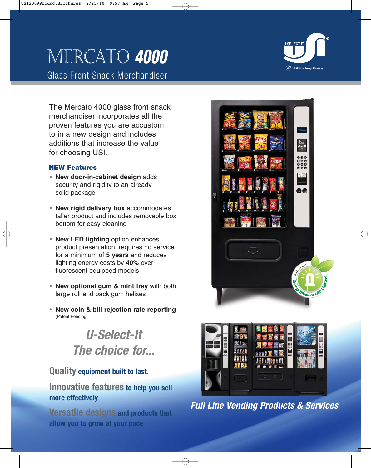# Mercato **4000**

Glass Front Snack Merchandiser

The Mercato 4000 glass front snack merchandiser incorporates all the proven features you are accustom to in a new design and includes additions that increase the value for choosing USI.

#### **NEW Features**

- **• New door-in-cabinet design** adds security and rigidity to an already solid package
- **• New rigid delivery box** accommodates taller product and includes removable box bottom for easy cleaning
- **• New LED lighting** option enhances product presentation, requires no service for a minimum of **5 years** and reduces lighting energy costs by **40%** over fluorescent equipped models
- **• New optional gum & mint tray** with both large roll and pack gum helixes
- **• New coin & bill rejection rate reporting** (Patent Pending)

## **U-Select-It The choice for...**

### **Quality equipment built to last.**

#### **Innovative features to help you sell more effectively**

**Versatile designs and products that allow you to grow at your pace**





**Full Line Vending Products & Services**